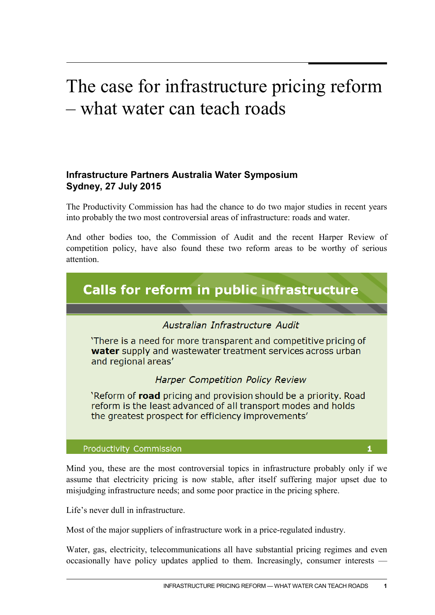## The case for infrastructure pricing reform – what water can teach roads

## **Infrastructure Partners Australia Water Symposium Sydney, 27 July 2015**

The Productivity Commission has had the chance to do two major studies in recent years into probably the two most controversial areas of infrastructure: roads and water.

And other bodies too, the Commission of Audit and the recent Harper Review of competition policy, have also found these two reform areas to be worthy of serious attention.



Mind you, these are the most controversial topics in infrastructure probably only if we assume that electricity pricing is now stable, after itself suffering major upset due to misjudging infrastructure needs; and some poor practice in the pricing sphere.

Life's never dull in infrastructure.

Most of the major suppliers of infrastructure work in a price-regulated industry.

Water, gas, electricity, telecommunications all have substantial pricing regimes and even occasionally have policy updates applied to them. Increasingly, consumer interests —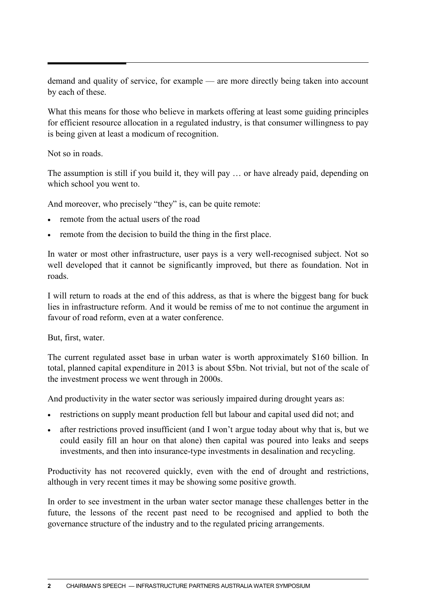demand and quality of service, for example — are more directly being taken into account by each of these.

What this means for those who believe in markets offering at least some guiding principles for efficient resource allocation in a regulated industry, is that consumer willingness to pay is being given at least a modicum of recognition.

Not so in roads.

The assumption is still if you build it, they will pay … or have already paid, depending on which school you went to.

And moreover, who precisely "they" is, can be quite remote:

- remote from the actual users of the road
- remote from the decision to build the thing in the first place.

In water or most other infrastructure, user pays is a very well-recognised subject. Not so well developed that it cannot be significantly improved, but there as foundation. Not in roads.

I will return to roads at the end of this address, as that is where the biggest bang for buck lies in infrastructure reform. And it would be remiss of me to not continue the argument in favour of road reform, even at a water conference.

But, first, water.

The current regulated asset base in urban water is worth approximately \$160 billion. In total, planned capital expenditure in 2013 is about \$5bn. Not trivial, but not of the scale of the investment process we went through in 2000s.

And productivity in the water sector was seriously impaired during drought years as:

- restrictions on supply meant production fell but labour and capital used did not; and
- after restrictions proved insufficient (and I won't argue today about why that is, but we could easily fill an hour on that alone) then capital was poured into leaks and seeps investments, and then into insurance-type investments in desalination and recycling.

Productivity has not recovered quickly, even with the end of drought and restrictions, although in very recent times it may be showing some positive growth.

In order to see investment in the urban water sector manage these challenges better in the future, the lessons of the recent past need to be recognised and applied to both the governance structure of the industry and to the regulated pricing arrangements.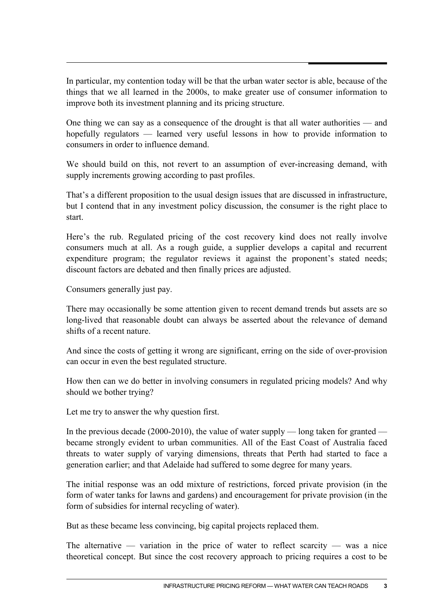In particular, my contention today will be that the urban water sector is able, because of the things that we all learned in the 2000s, to make greater use of consumer information to improve both its investment planning and its pricing structure.

One thing we can say as a consequence of the drought is that all water authorities — and hopefully regulators — learned very useful lessons in how to provide information to consumers in order to influence demand.

We should build on this, not revert to an assumption of ever-increasing demand, with supply increments growing according to past profiles.

That's a different proposition to the usual design issues that are discussed in infrastructure, but I contend that in any investment policy discussion, the consumer is the right place to start.

Here's the rub. Regulated pricing of the cost recovery kind does not really involve consumers much at all. As a rough guide, a supplier develops a capital and recurrent expenditure program; the regulator reviews it against the proponent's stated needs; discount factors are debated and then finally prices are adjusted.

Consumers generally just pay.

There may occasionally be some attention given to recent demand trends but assets are so long-lived that reasonable doubt can always be asserted about the relevance of demand shifts of a recent nature.

And since the costs of getting it wrong are significant, erring on the side of over-provision can occur in even the best regulated structure.

How then can we do better in involving consumers in regulated pricing models? And why should we bother trying?

Let me try to answer the why question first.

In the previous decade (2000-2010), the value of water supply — long taken for granted became strongly evident to urban communities. All of the East Coast of Australia faced threats to water supply of varying dimensions, threats that Perth had started to face a generation earlier; and that Adelaide had suffered to some degree for many years.

The initial response was an odd mixture of restrictions, forced private provision (in the form of water tanks for lawns and gardens) and encouragement for private provision (in the form of subsidies for internal recycling of water).

But as these became less convincing, big capital projects replaced them.

The alternative — variation in the price of water to reflect scarcity — was a nice theoretical concept. But since the cost recovery approach to pricing requires a cost to be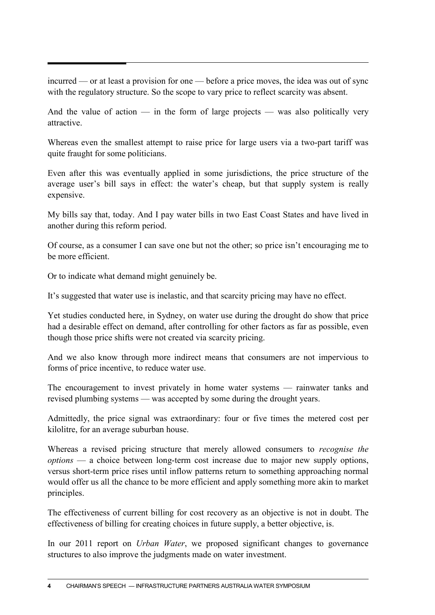incurred — or at least a provision for one — before a price moves, the idea was out of sync with the regulatory structure. So the scope to vary price to reflect scarcity was absent.

And the value of action  $-$  in the form of large projects  $-$  was also politically very attractive.

Whereas even the smallest attempt to raise price for large users via a two-part tariff was quite fraught for some politicians.

Even after this was eventually applied in some jurisdictions, the price structure of the average user's bill says in effect: the water's cheap, but that supply system is really expensive.

My bills say that, today. And I pay water bills in two East Coast States and have lived in another during this reform period.

Of course, as a consumer I can save one but not the other; so price isn't encouraging me to be more efficient.

Or to indicate what demand might genuinely be.

It's suggested that water use is inelastic, and that scarcity pricing may have no effect.

Yet studies conducted here, in Sydney, on water use during the drought do show that price had a desirable effect on demand, after controlling for other factors as far as possible, even though those price shifts were not created via scarcity pricing.

And we also know through more indirect means that consumers are not impervious to forms of price incentive, to reduce water use.

The encouragement to invest privately in home water systems — rainwater tanks and revised plumbing systems — was accepted by some during the drought years.

Admittedly, the price signal was extraordinary: four or five times the metered cost per kilolitre, for an average suburban house.

Whereas a revised pricing structure that merely allowed consumers to *recognise the options* — a choice between long-term cost increase due to major new supply options, versus short-term price rises until inflow patterns return to something approaching normal would offer us all the chance to be more efficient and apply something more akin to market principles.

The effectiveness of current billing for cost recovery as an objective is not in doubt. The effectiveness of billing for creating choices in future supply, a better objective, is.

In our 2011 report on *Urban Water*, we proposed significant changes to governance structures to also improve the judgments made on water investment.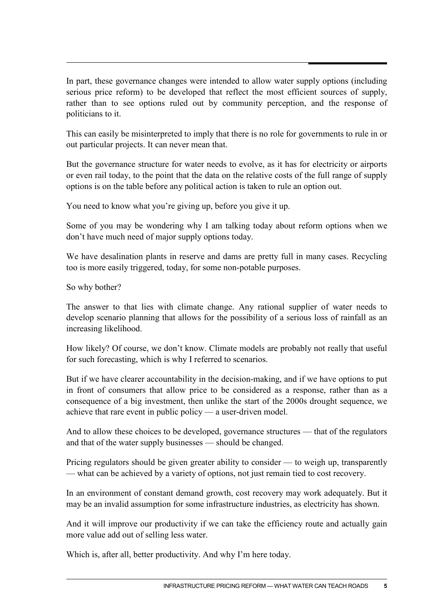In part, these governance changes were intended to allow water supply options (including serious price reform) to be developed that reflect the most efficient sources of supply, rather than to see options ruled out by community perception, and the response of politicians to it.

This can easily be misinterpreted to imply that there is no role for governments to rule in or out particular projects. It can never mean that.

But the governance structure for water needs to evolve, as it has for electricity or airports or even rail today, to the point that the data on the relative costs of the full range of supply options is on the table before any political action is taken to rule an option out.

You need to know what you're giving up, before you give it up.

Some of you may be wondering why I am talking today about reform options when we don't have much need of major supply options today.

We have desalination plants in reserve and dams are pretty full in many cases. Recycling too is more easily triggered, today, for some non-potable purposes.

So why bother?

The answer to that lies with climate change. Any rational supplier of water needs to develop scenario planning that allows for the possibility of a serious loss of rainfall as an increasing likelihood.

How likely? Of course, we don't know. Climate models are probably not really that useful for such forecasting, which is why I referred to scenarios.

But if we have clearer accountability in the decision-making, and if we have options to put in front of consumers that allow price to be considered as a response, rather than as a consequence of a big investment, then unlike the start of the 2000s drought sequence, we achieve that rare event in public policy — a user-driven model.

And to allow these choices to be developed, governance structures — that of the regulators and that of the water supply businesses — should be changed.

Pricing regulators should be given greater ability to consider — to weigh up, transparently — what can be achieved by a variety of options, not just remain tied to cost recovery.

In an environment of constant demand growth, cost recovery may work adequately. But it may be an invalid assumption for some infrastructure industries, as electricity has shown.

And it will improve our productivity if we can take the efficiency route and actually gain more value add out of selling less water.

Which is, after all, better productivity. And why I'm here today.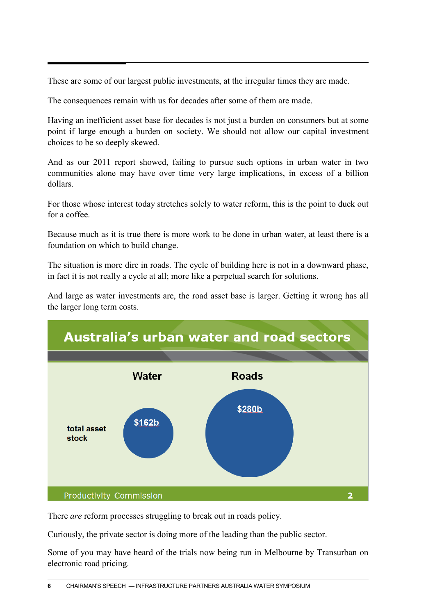These are some of our largest public investments, at the irregular times they are made.

The consequences remain with us for decades after some of them are made.

Having an inefficient asset base for decades is not just a burden on consumers but at some point if large enough a burden on society. We should not allow our capital investment choices to be so deeply skewed.

And as our 2011 report showed, failing to pursue such options in urban water in two communities alone may have over time very large implications, in excess of a billion dollars.

For those whose interest today stretches solely to water reform, this is the point to duck out for a coffee.

Because much as it is true there is more work to be done in urban water, at least there is a foundation on which to build change.

The situation is more dire in roads. The cycle of building here is not in a downward phase, in fact it is not really a cycle at all; more like a perpetual search for solutions.

And large as water investments are, the road asset base is larger. Getting it wrong has all the larger long term costs.



There *are* reform processes struggling to break out in roads policy.

Curiously, the private sector is doing more of the leading than the public sector.

Some of you may have heard of the trials now being run in Melbourne by Transurban on electronic road pricing.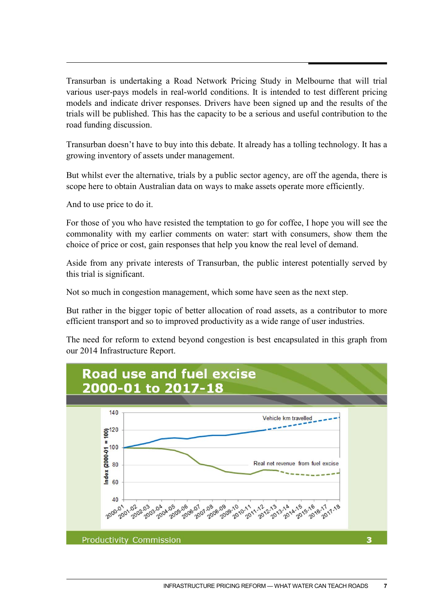Transurban is undertaking a Road Network Pricing Study in Melbourne that will trial various user-pays models in real-world conditions. It is intended to test different pricing models and indicate driver responses. Drivers have been signed up and the results of the trials will be published. This has the capacity to be a serious and useful contribution to the road funding discussion.

Transurban doesn't have to buy into this debate. It already has a tolling technology. It has a growing inventory of assets under management.

But whilst ever the alternative, trials by a public sector agency, are off the agenda, there is scope here to obtain Australian data on ways to make assets operate more efficiently.

And to use price to do it.

For those of you who have resisted the temptation to go for coffee, I hope you will see the commonality with my earlier comments on water: start with consumers, show them the choice of price or cost, gain responses that help you know the real level of demand.

Aside from any private interests of Transurban, the public interest potentially served by this trial is significant.

Not so much in congestion management, which some have seen as the next step.

But rather in the bigger topic of better allocation of road assets, as a contributor to more efficient transport and so to improved productivity as a wide range of user industries.

The need for reform to extend beyond congestion is best encapsulated in this graph from our 2014 Infrastructure Report.

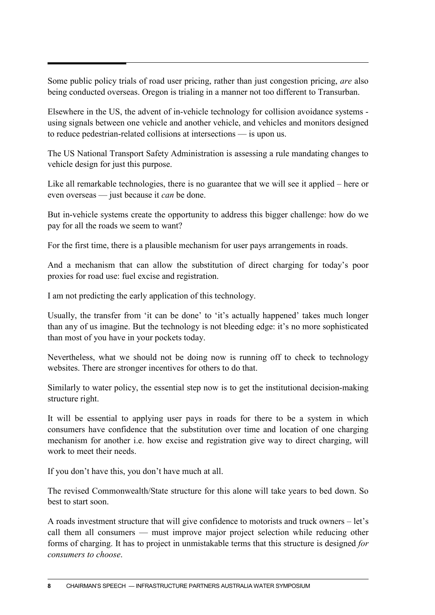Some public policy trials of road user pricing, rather than just congestion pricing, *are* also being conducted overseas. Oregon is trialing in a manner not too different to Transurban.

Elsewhere in the US, the advent of in-vehicle technology for collision avoidance systems using signals between one vehicle and another vehicle, and vehicles and monitors designed to reduce pedestrian-related collisions at intersections — is upon us.

The US National Transport Safety Administration is assessing a rule mandating changes to vehicle design for just this purpose.

Like all remarkable technologies, there is no guarantee that we will see it applied – here or even overseas — just because it *can* be done.

But in-vehicle systems create the opportunity to address this bigger challenge: how do we pay for all the roads we seem to want?

For the first time, there is a plausible mechanism for user pays arrangements in roads.

And a mechanism that can allow the substitution of direct charging for today's poor proxies for road use: fuel excise and registration.

I am not predicting the early application of this technology.

Usually, the transfer from 'it can be done' to 'it's actually happened' takes much longer than any of us imagine. But the technology is not bleeding edge: it's no more sophisticated than most of you have in your pockets today.

Nevertheless, what we should not be doing now is running off to check to technology websites. There are stronger incentives for others to do that.

Similarly to water policy, the essential step now is to get the institutional decision-making structure right.

It will be essential to applying user pays in roads for there to be a system in which consumers have confidence that the substitution over time and location of one charging mechanism for another i.e. how excise and registration give way to direct charging, will work to meet their needs.

If you don't have this, you don't have much at all.

The revised Commonwealth/State structure for this alone will take years to bed down. So best to start soon.

A roads investment structure that will give confidence to motorists and truck owners – let's call them all consumers — must improve major project selection while reducing other forms of charging. It has to project in unmistakable terms that this structure is designed *for consumers to choose*.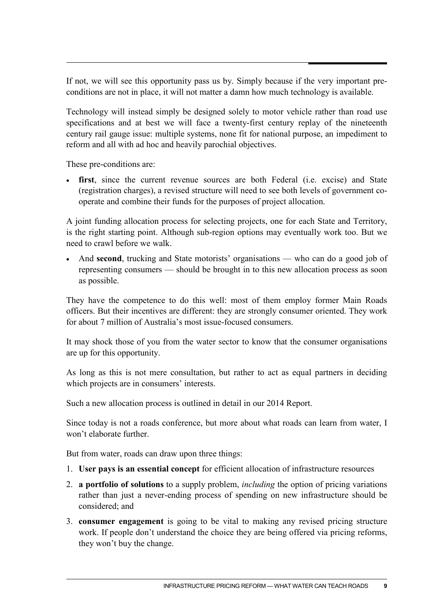If not, we will see this opportunity pass us by. Simply because if the very important preconditions are not in place, it will not matter a damn how much technology is available.

Technology will instead simply be designed solely to motor vehicle rather than road use specifications and at best we will face a twenty-first century replay of the nineteenth century rail gauge issue: multiple systems, none fit for national purpose, an impediment to reform and all with ad hoc and heavily parochial objectives.

These pre-conditions are:

• **first**, since the current revenue sources are both Federal (i.e. excise) and State (registration charges), a revised structure will need to see both levels of government cooperate and combine their funds for the purposes of project allocation.

A joint funding allocation process for selecting projects, one for each State and Territory, is the right starting point. Although sub-region options may eventually work too. But we need to crawl before we walk.

And **second**, trucking and State motorists' organisations — who can do a good job of representing consumers — should be brought in to this new allocation process as soon as possible.

They have the competence to do this well: most of them employ former Main Roads officers. But their incentives are different: they are strongly consumer oriented. They work for about 7 million of Australia's most issue-focused consumers.

It may shock those of you from the water sector to know that the consumer organisations are up for this opportunity.

As long as this is not mere consultation, but rather to act as equal partners in deciding which projects are in consumers' interests.

Such a new allocation process is outlined in detail in our 2014 Report.

Since today is not a roads conference, but more about what roads can learn from water, I won't elaborate further.

But from water, roads can draw upon three things:

- 1. **User pays is an essential concept** for efficient allocation of infrastructure resources
- 2. **a portfolio of solutions** to a supply problem, *including* the option of pricing variations rather than just a never-ending process of spending on new infrastructure should be considered; and
- 3. **consumer engagement** is going to be vital to making any revised pricing structure work. If people don't understand the choice they are being offered via pricing reforms, they won't buy the change.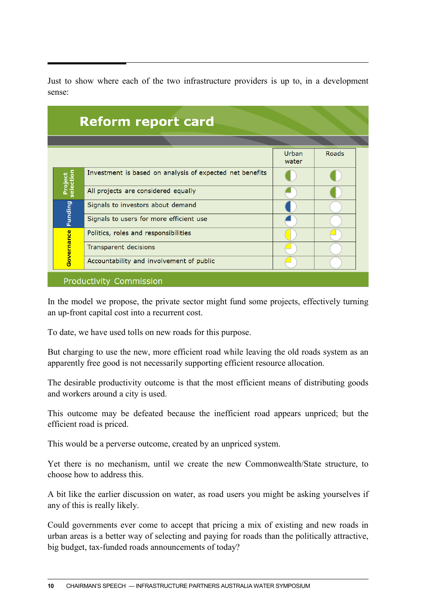| <b>Reform report card</b> |                                                          |                |       |  |
|---------------------------|----------------------------------------------------------|----------------|-------|--|
|                           |                                                          |                |       |  |
|                           |                                                          | Urban<br>water | Roads |  |
| Project<br>election       | Investment is based on analysis of expected net benefits |                |       |  |
|                           | All projects are considered equally                      |                |       |  |
| <b>Funding</b>            | Signals to investors about demand                        |                |       |  |
|                           | Signals to users for more efficient use                  |                |       |  |
| Governance                | Politics, roles and responsibilities                     |                |       |  |
|                           | Transparent decisions                                    |                |       |  |
|                           | Accountability and involvement of public                 |                |       |  |

Just to show where each of the two infrastructure providers is up to, in a development

In the model we propose, the private sector might fund some projects, effectively turning an up-front capital cost into a recurrent cost.

To date, we have used tolls on new roads for this purpose.

sense:

But charging to use the new, more efficient road while leaving the old roads system as an apparently free good is not necessarily supporting efficient resource allocation.

The desirable productivity outcome is that the most efficient means of distributing goods and workers around a city is used.

This outcome may be defeated because the inefficient road appears unpriced; but the efficient road is priced.

This would be a perverse outcome, created by an unpriced system.

Yet there is no mechanism, until we create the new Commonwealth/State structure, to choose how to address this.

A bit like the earlier discussion on water, as road users you might be asking yourselves if any of this is really likely.

Could governments ever come to accept that pricing a mix of existing and new roads in urban areas is a better way of selecting and paying for roads than the politically attractive, big budget, tax-funded roads announcements of today?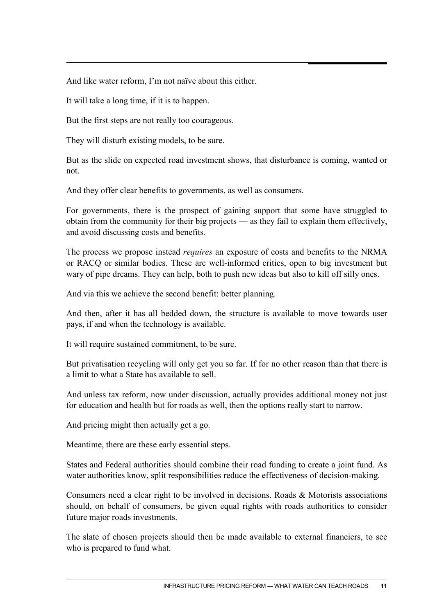And like water reform, I'm not naïve about this either.

It will take a long time, if it is to happen.

But the first steps are not really too courageous.

They will disturb existing models, to be sure.

But as the slide on expected road investment shows, that disturbance is coming, wanted or not.

And they offer clear benefits to governments, as well as consumers.

For governments, there is the prospect of gaining support that some have struggled to obtain from the community for their big projects — as they fail to explain them effectively, and avoid discussing costs and benefits.

The process we propose instead *requires* an exposure of costs and benefits to the NRMA or RACQ or similar bodies. These are well-informed critics, open to big investment but wary of pipe dreams. They can help, both to push new ideas but also to kill off silly ones.

And via this we achieve the second benefit: better planning.

And then, after it has all bedded down, the structure is available to move towards user pays, if and when the technology is available.

It will require sustained commitment, to be sure.

But privatisation recycling will only get you so far. If for no other reason than that there is a limit to what a State has available to sell.

And unless tax reform, now under discussion, actually provides additional money not just for education and health but for roads as well, then the options really start to narrow.

And pricing might then actually get a go.

Meantime, there are these early essential steps.

States and Federal authorities should combine their road funding to create a joint fund. As water authorities know, split responsibilities reduce the effectiveness of decision-making.

Consumers need a clear right to be involved in decisions. Roads & Motorists associations should, on behalf of consumers, be given equal rights with roads authorities to consider future major roads investments.

The slate of chosen projects should then be made available to external financiers, to see who is prepared to fund what.